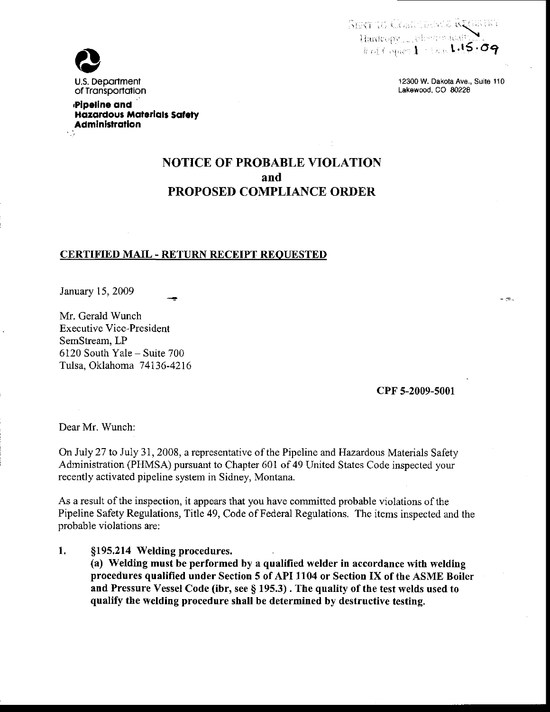**SERT TO CONTRACT RUSSINI** Hardcopy electrodeat Rollinger 1 - Sept.15.09



12300 W. Dakota Ave., Suite 110 Lakewood, CO 80228

 $-\infty$ 

Pipeline and **Hazardous Materials Safety Administration** 

# **NOTICE OF PROBABLE VIOLATION** and **PROPOSED COMPLIANCE ORDER**

### **CERTIFIED MAIL - RETURN RECEIPT REQUESTED**

January 15, 2009

Mr. Gerald Wunch **Executive Vice-President** SemStream, LP 6120 South Yale - Suite 700 Tulsa, Oklahoma 74136-4216

CPF 5-2009-5001

Dear Mr. Wunch:

1.

On July 27 to July 31, 2008, a representative of the Pipeline and Hazardous Materials Safety Administration (PHMSA) pursuant to Chapter 601 of 49 United States Code inspected your recently activated pipeline system in Sidney, Montana.

As a result of the inspection, it appears that you have committed probable violations of the Pipeline Safety Regulations, Title 49, Code of Federal Regulations. The items inspected and the probable violations are:

§195.214 Welding procedures. (a) Welding must be performed by a qualified welder in accordance with welding procedures qualified under Section 5 of API 1104 or Section IX of the ASME Boiler and Pressure Vessel Code (ibr, see § 195.3). The quality of the test welds used to qualify the welding procedure shall be determined by destructive testing.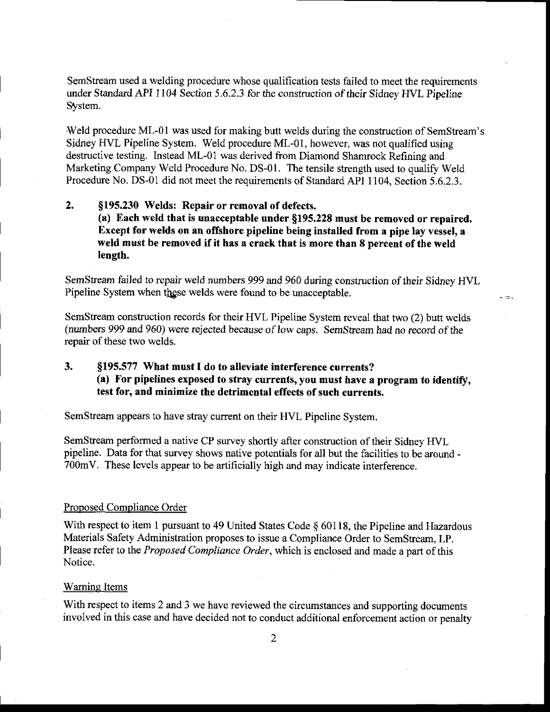SemStream used a welding procedure whose qualification tests failed to meet the requirements under Skndard API 1104 Section 5.6.2.3 for the construction of their Sidney HVL Pipeline System.

Weld procedure ML-01 was used for making butt welds during the construction of SemStream's Sidney HVL Pipeline System. Weld procedure ML-01, however, was not qualified using destructive testing. Instead ML-01 was derived from Diamond Shamrock Refining and Marketing Company Weld Procedure No. DS-01. The tensile strength used to qualify Weld Procedure No. DS-01 did not meet the requirements of Standard API 1104, Section 5.6.2.3.

### 2. 5195.230 Welds: Repair or removal of defects. (a) Each weld that is unacceptable under \$195.228 must be removed or repaired, Except for welds on an offshore pipeline being installed from a pipe lay vessel, a weld must be removed if it has a crack that is more than 8 percent of the weld length.

SemStream failed to repair weld numbers 999 and 960 during construction of their Sidney HVL Pipeline System when these welds were found to be unacceptable.

- 53

SemStream construction records for their HVL Pipeline System reveal that two (2) butt welds (numbers 999 nd 960) were rejected because of low caps. Semstream had no record of the repair of these two welds.

### 3. \$195.577 What must I do to alleviate interference currents? (a) For pipelines exposed to stray currents, you must have a program to identify, test for, and minimize the detrimental effects of such currents.

SemStream appears to have stray current on their HVL Pipeline System.

SemStream performed a native CP survey shortly after construction of their Sidney HVL pipeline. Data for that survey shows native potentials for all but the facilities to be around - 700mV. These levels appear to be artificially high and may indicate interference.

#### Proposed Compliance Order

With respect to item 1 pursuant to 49 United States Code § 60118, the Pipeline and Hazardous Materials Safety Administration proposes to issue a Compliance Order to SemStream, LP. Please refer to the Proposed Compliance Order, which is enclosed and made a part of this Notice.

#### Waming Items

With respect to items 2 and 3 we have reviewed the circumstances and supporting documents involved in this case and have decided not to conduct additional enforcement action or penalty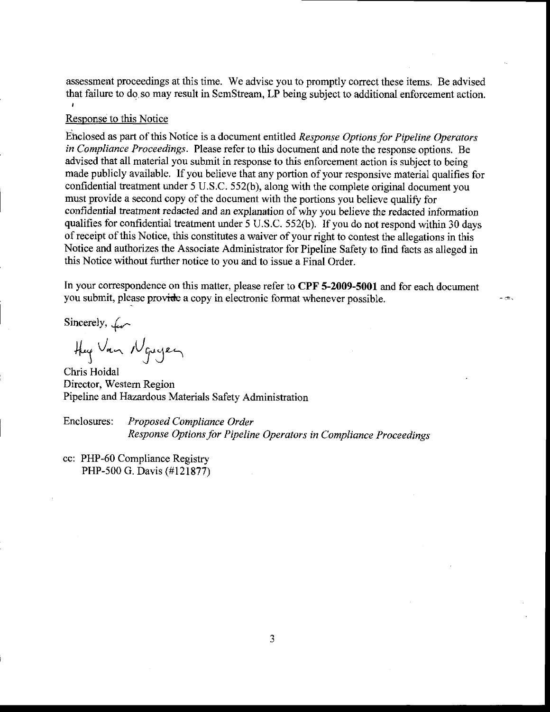assessment proceedings at this time. We advise you to promptly correcthese items. Be advised that failure to do so may result in SemStream, LP being subject to additional enforcement action.

#### Response to this Notice

Enclosed as part of this Notice is a document entitled Response Options for Pipeline Operators in Compliance Proceedings. Please refer to this document and note the response options. Be advised that all material you submit in response to this enforcement action is subject to being made publicly available. If you believe that any portion of your responsive material qualifies for confidential treatment under 5 U.S.C. 552(b), along with the complete original document you must provide a second copy of the document with the portions you believe qualify for confidential treatment redacted and an explanation of why you believe the redacted information qualifies for confidential treatment under 5 U.S.C. 552(b). If you do not respond within 30 days of receipt of this Notice, this constitutes a waiver of your right to contest the allegations in this Notice and authorizes the Associate Administrator for Pipeline Safety to find facts as alleged in this Notice without further notice to you and to issue a Final Order.

In your correspondence on this matter, please refer to CPF 5-2009-5001 and for each document you submit, please provide a copy in electronic format whenever possible.

- æ.

Sincerely,  $\mathcal{L}$ .

Hug Van Nguyen

Chris Hoidal Director, Westem Region Pipeline and Hazardous Materials Safety Administration

Enclosures: Proposed Compliance Order Response Options for Pipeline Operators in Compliance Proceedings

cc: PHP-60 Compliance Registry PHP-500 G. Davis (#121877)